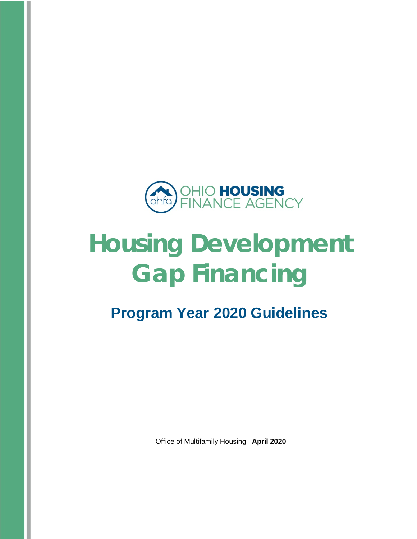

# **Housing Development Gap Financing**

# **Program Year 2020 Guidelines**

Office of Multifamily Housing | **April 2020**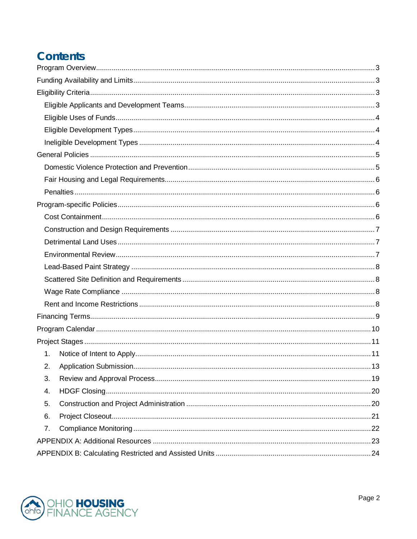# **Contents**

| $\mathbf{1}$ . |  |
|----------------|--|
|                |  |
| 3.             |  |
| 4.             |  |
| 5.             |  |
| 6.             |  |
| 7.             |  |
|                |  |
|                |  |

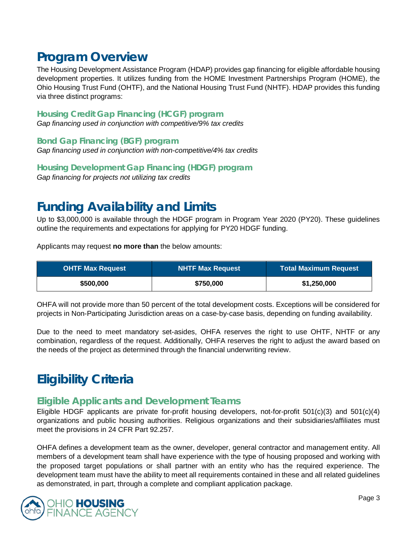# <span id="page-2-0"></span>**Program Overview**

The Housing Development Assistance Program (HDAP) provides gap financing for eligible affordable housing development properties. It utilizes funding from the HOME Investment Partnerships Program (HOME), the Ohio Housing Trust Fund (OHTF), and the National Housing Trust Fund (NHTF). HDAP provides this funding via three distinct programs:

#### **Housing Credit Gap Financing (HCGF) program**

*Gap financing used in conjunction with competitive/9% tax credits*

**Bond Gap Financing (BGF) program** *Gap financing used in conjunction with non-competitive/4% tax credits*

**Housing Development Gap Financing (HDGF) program** *Gap financing for projects not utilizing tax credits*

# <span id="page-2-1"></span>**Funding Availability and Limits**

Up to \$3,000,000 is available through the HDGF program in Program Year 2020 (PY20). These guidelines outline the requirements and expectations for applying for PY20 HDGF funding.

Applicants may request **no more than** the below amounts:

| <b>OHTF Max Request</b> | <b>NHTF Max Request</b> | <b>Total Maximum Request</b> |
|-------------------------|-------------------------|------------------------------|
| \$500,000               | \$750,000               | \$1,250,000                  |

OHFA will not provide more than 50 percent of the total development costs. Exceptions will be considered for projects in Non-Participating Jurisdiction areas on a case-by-case basis, depending on funding availability.

Due to the need to meet mandatory set-asides, OHFA reserves the right to use OHTF, NHTF or any combination, regardless of the request. Additionally, OHFA reserves the right to adjust the award based on the needs of the project as determined through the financial underwriting review.

# <span id="page-2-2"></span>**Eligibility Criteria**

# <span id="page-2-3"></span>**Eligible Applicants and Development Teams**

Eligible HDGF applicants are private for-profit housing developers, not-for-profit 501(c)(3) and 501(c)(4) organizations and public housing authorities. Religious organizations and their subsidiaries/affiliates must meet the provisions in 24 CFR Part 92.257.

OHFA defines a development team as the owner, developer, general contractor and management entity. All members of a development team shall have experience with the type of housing proposed and working with the proposed target populations or shall partner with an entity who has the required experience. The development team must have the ability to meet all requirements contained in these and all related guidelines as demonstrated, in part, through a complete and compliant application package.

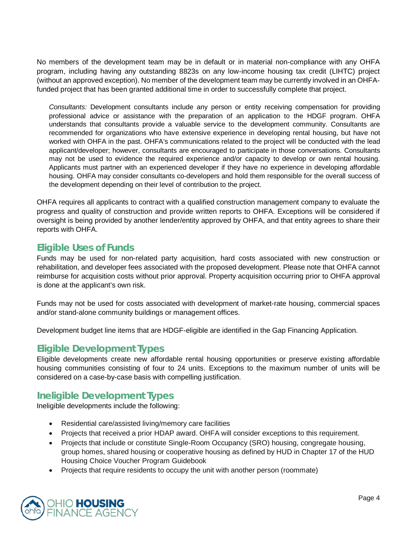No members of the development team may be in default or in material non-compliance with any OHFA program, including having any outstanding 8823s on any low-income housing tax credit (LIHTC) project (without an approved exception). No member of the development team may be currently involved in an OHFAfunded project that has been granted additional time in order to successfully complete that project.

*Consultants:* Development consultants include any person or entity receiving compensation for providing professional advice or assistance with the preparation of an application to the HDGF program. OHFA understands that consultants provide a valuable service to the development community. Consultants are recommended for organizations who have extensive experience in developing rental housing, but have not worked with OHFA in the past. OHFA's communications related to the project will be conducted with the lead applicant/developer; however, consultants are encouraged to participate in those conversations. Consultants may not be used to evidence the required experience and/or capacity to develop or own rental housing. Applicants must partner with an experienced developer if they have no experience in developing affordable housing. OHFA may consider consultants co-developers and hold them responsible for the overall success of the development depending on their level of contribution to the project.

OHFA requires all applicants to contract with a qualified construction management company to evaluate the progress and quality of construction and provide written reports to OHFA. Exceptions will be considered if oversight is being provided by another lender/entity approved by OHFA, and that entity agrees to share their reports with OHFA.

# <span id="page-3-0"></span>**Eligible Uses of Funds**

Funds may be used for non-related party acquisition, hard costs associated with new construction or rehabilitation, and developer fees associated with the proposed development. Please note that OHFA cannot reimburse for acquisition costs without prior approval. Property acquisition occurring prior to OHFA approval is done at the applicant's own risk.

Funds may not be used for costs associated with development of market-rate housing, commercial spaces and/or stand-alone community buildings or management offices.

Development budget line items that are HDGF-eligible are identified in the Gap Financing Application.

# <span id="page-3-1"></span>**Eligible Development Types**

Eligible developments create new affordable rental housing opportunities or preserve existing affordable housing communities consisting of four to 24 units. Exceptions to the maximum number of units will be considered on a case-by-case basis with compelling justification.

# <span id="page-3-2"></span>**Ineligible Development Types**

Ineligible developments include the following:

- Residential care/assisted living/memory care facilities
- Projects that received a prior HDAP award. OHFA will consider exceptions to this requirement.
- Projects that include or constitute Single-Room Occupancy (SRO) housing, congregate housing, group homes, shared housing or cooperative housing as defined by HUD in Chapter 17 of the HUD Housing Choice Voucher Program Guidebook
- Projects that require residents to occupy the unit with another person (roommate)

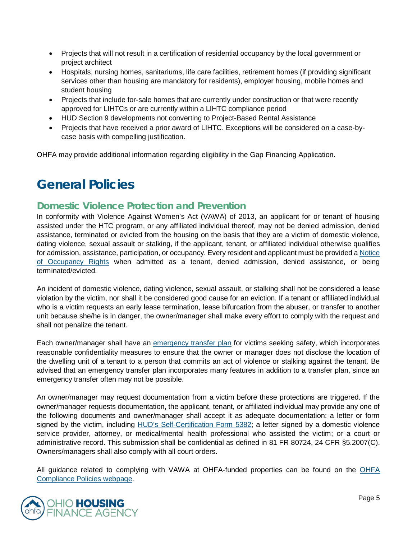- Projects that will not result in a certification of residential occupancy by the local government or project architect
- Hospitals, nursing homes, sanitariums, life care facilities, retirement homes (if providing significant services other than housing are mandatory for residents), employer housing, mobile homes and student housing
- Projects that include for-sale homes that are currently under construction or that were recently approved for LIHTCs or are currently within a LIHTC compliance period
- HUD Section 9 developments not converting to Project-Based Rental Assistance
- Projects that have received a prior award of LIHTC. Exceptions will be considered on a case-bycase basis with compelling justification.

OHFA may provide additional information regarding eligibility in the Gap Financing Application.

# <span id="page-4-0"></span>**General Policies**

# <span id="page-4-1"></span>**Domestic Violence Protection and Prevention**

In conformity with Violence Against Women's Act (VAWA) of 2013, an applicant for or tenant of housing assisted under the HTC program, or any affiliated individual thereof, may not be denied admission, denied assistance, terminated or evicted from the housing on the basis that they are a victim of domestic violence, dating violence, sexual assault or stalking, if the applicant, tenant, or affiliated individual otherwise qualifies for admission, assistance, participation, or occupancy. Every resident and applicant must be provided a [Notice](https://www.hud.gov/sites/documents/5380.DOCX)  [of Occupancy Rights](https://www.hud.gov/sites/documents/5380.DOCX) when admitted as a tenant, denied admission, denied assistance, or being terminated/evicted.

An incident of domestic violence, dating violence, sexual assault, or stalking shall not be considered a lease violation by the victim, nor shall it be considered good cause for an eviction. If a tenant or affiliated individual who is a victim requests an early lease termination, lease bifurcation from the abuser, or transfer to another unit because she/he is in danger, the owner/manager shall make every effort to comply with the request and shall not penalize the tenant.

Each owner/manager shall have an [emergency transfer plan](https://www.hud.gov/sites/documents/5381.docx) for victims seeking safety, which incorporates reasonable confidentiality measures to ensure that the owner or manager does not disclose the location of the dwelling unit of a tenant to a person that commits an act of violence or stalking against the tenant. Be advised that an emergency transfer plan incorporates many features in addition to a transfer plan, since an emergency transfer often may not be possible.

An owner/manager may request documentation from a victim before these protections are triggered. If the owner/manager requests documentation, the applicant, tenant, or affiliated individual may provide any one of the following documents and owner/manager shall accept it as adequate documentation: a letter or form signed by the victim, including [HUD's Self-Certification Form 5382;](https://www.hud.gov/program_offices/housing/mfh/violence_against_women_act) a letter signed by a domestic violence service provider, attorney, or medical/mental health professional who assisted the victim; or a court or administrative record. This submission shall be confidential as defined in 81 FR 80724, 24 CFR §5.2007(C). Owners/managers shall also comply with all court orders.

All guidance related to complying with VAWA at OHFA-funded properties can be found on the [OHFA](http://ohiohome.org/compliance/policies.aspx)  [Compliance Policies webpage.](http://ohiohome.org/compliance/policies.aspx)

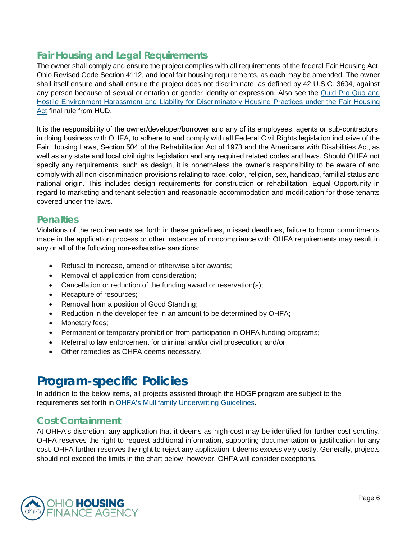# <span id="page-5-0"></span>**Fair Housing and Legal Requirements**

The owner shall comply and ensure the project complies with all requirements of the federal Fair Housing Act, Ohio Revised Code Section 4112, and local fair housing requirements, as each may be amended. The owner shall itself ensure and shall ensure the project does not discriminate, as defined by 42 U.S.C. 3604, against any person because of sexual orientation or gender identity or expression. Also see the [Quid Pro Quo and](https://s3.amazonaws.com/public-inspection.federalregister.gov/2016-21868.pdf)  [Hostile Environment Harassment and Liability for Discriminatory Housing Practices under the Fair Housing](https://s3.amazonaws.com/public-inspection.federalregister.gov/2016-21868.pdf)  [Act](https://s3.amazonaws.com/public-inspection.federalregister.gov/2016-21868.pdf) final rule from HUD.

It is the responsibility of the owner/developer/borrower and any of its employees, agents or sub-contractors, in doing business with OHFA, to adhere to and comply with all Federal Civil Rights legislation inclusive of the Fair Housing Laws, Section 504 of the Rehabilitation Act of 1973 and the Americans with Disabilities Act, as well as any state and local civil rights legislation and any required related codes and laws. Should OHFA not specify any requirements, such as design, it is nonetheless the owner's responsibility to be aware of and comply with all non-discrimination provisions relating to race, color, religion, sex, handicap, familial status and national origin. This includes design requirements for construction or rehabilitation, Equal Opportunity in regard to marketing and tenant selection and reasonable accommodation and modification for those tenants covered under the laws.

# <span id="page-5-1"></span>**Penalties**

Violations of the requirements set forth in these guidelines, missed deadlines, failure to honor commitments made in the application process or other instances of noncompliance with OHFA requirements may result in any or all of the following non-exhaustive sanctions:

- Refusal to increase, amend or otherwise alter awards;
- Removal of application from consideration;
- Cancellation or reduction of the funding award or reservation(s);
- Recapture of resources;
- Removal from a position of Good Standing;
- Reduction in the developer fee in an amount to be determined by OHFA;
- Monetary fees:
- Permanent or temporary prohibition from participation in OHFA funding programs;
- Referral to law enforcement for criminal and/or civil prosecution; and/or
- Other remedies as OHFA deems necessary.

# <span id="page-5-2"></span>**Program-specific Policies**

In addition to the below items, all projects assisted through the HDGF program are subject to the requirements set forth in [OHFA's Multifamily Underwriting Guidelines.](https://ohiohome.org/ppd/documents/2020-MultifamilyUnderwritingGuide.pdf)

# <span id="page-5-3"></span>**Cost Containment**

At OHFA's discretion, any application that it deems as high-cost may be identified for further cost scrutiny. OHFA reserves the right to request additional information, supporting documentation or justification for any cost. OHFA further reserves the right to reject any application it deems excessively costly. Generally, projects should not exceed the limits in the chart below; however, OHFA will consider exceptions.

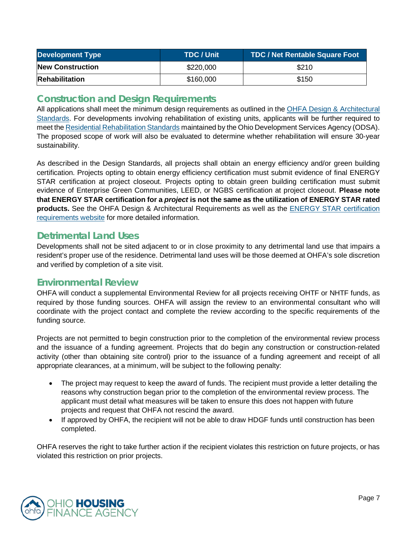| <b>Development Type</b> | TDC / Unit | <b>TDC / Net Rentable Square Foot</b> |
|-------------------------|------------|---------------------------------------|
| <b>New Construction</b> | \$220,000  | \$210                                 |
| <b>Rehabilitation</b>   | \$160,000  | \$150                                 |

# <span id="page-6-0"></span>**Construction and Design Requirements**

All applications shall meet the minimum design requirements as outlined in the OHFA Design & Architectural [Standards.](https://ohiohome.org/ppd/documents/2020-DAS-Final.pdf) For developments involving rehabilitation of existing units, applicants will be further required to meet th[e Residential Rehabilitation Standards](https://www.development.ohio.gov/files/cs/Residential%20Rehabilitation%20Standards%20and%20Commentary%20October%202014.pdf) maintained by the Ohio Development Services Agency (ODSA). The proposed scope of work will also be evaluated to determine whether rehabilitation will ensure 30-year sustainability.

As described in the Design Standards, all projects shall obtain an energy efficiency and/or green building certification. Projects opting to obtain energy efficiency certification must submit evidence of final ENERGY STAR certification at project closeout. Projects opting to obtain green building certification must submit evidence of Enterprise Green Communities, LEED, or NGBS certification at project closeout. **Please note that ENERGY STAR certification for a** *project* **is not the same as the utilization of ENERGY STAR rated products.** See the OHFA Design & Architectural Requirements as well as the [ENERGY STAR certification](https://www.energystar.gov/partner_resources/residential_new/homes_prog_reqs/multifamily_national_page)  [requirements website](https://www.energystar.gov/partner_resources/residential_new/homes_prog_reqs/multifamily_national_page) for more detailed information.

# <span id="page-6-1"></span>**Detrimental Land Uses**

Developments shall not be sited adjacent to or in close proximity to any detrimental land use that impairs a resident's proper use of the residence. Detrimental land uses will be those deemed at OHFA's sole discretion and verified by completion of a site visit.

# <span id="page-6-2"></span>**Environmental Review**

OHFA will conduct a supplemental Environmental Review for all projects receiving OHTF or NHTF funds, as required by those funding sources. OHFA will assign the review to an environmental consultant who will coordinate with the project contact and complete the review according to the specific requirements of the funding source.

Projects are not permitted to begin construction prior to the completion of the environmental review process and the issuance of a funding agreement. Projects that do begin any construction or construction-related activity (other than obtaining site control) prior to the issuance of a funding agreement and receipt of all appropriate clearances, at a minimum, will be subject to the following penalty:

- The project may request to keep the award of funds. The recipient must provide a letter detailing the reasons why construction began prior to the completion of the environmental review process. The applicant must detail what measures will be taken to ensure this does not happen with future projects and request that OHFA not rescind the award.
- If approved by OHFA, the recipient will not be able to draw HDGF funds until construction has been completed.

OHFA reserves the right to take further action if the recipient violates this restriction on future projects, or has violated this restriction on prior projects.

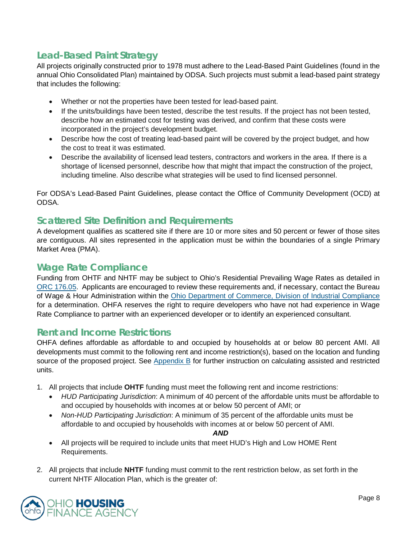# <span id="page-7-0"></span>**Lead-Based Paint Strategy**

All projects originally constructed prior to 1978 must adhere to the Lead-Based Paint Guidelines (found in the annual Ohio Consolidated Plan) maintained by ODSA. Such projects must submit a lead-based paint strategy that includes the following:

- Whether or not the properties have been tested for lead-based paint.
- If the units/buildings have been tested, describe the test results. If the project has not been tested, describe how an estimated cost for testing was derived, and confirm that these costs were incorporated in the project's development budget.
- Describe how the cost of treating lead-based paint will be covered by the project budget, and how the cost to treat it was estimated.
- Describe the availability of licensed lead testers, contractors and workers in the area. If there is a shortage of licensed personnel, describe how that might that impact the construction of the project, including timeline. Also describe what strategies will be used to find licensed personnel.

For ODSA's Lead-Based Paint Guidelines, please contact the Office of Community Development (OCD) at ODSA.

# <span id="page-7-1"></span>**Scattered Site Definition and Requirements**

A development qualifies as scattered site if there are 10 or more sites and 50 percent or fewer of those sites are contiguous. All sites represented in the application must be within the boundaries of a single Primary Market Area (PMA).

# <span id="page-7-2"></span>**Wage Rate Compliance**

Funding from OHTF and NHTF may be subject to Ohio's Residential Prevailing Wage Rates as detailed in [ORC 176.05.](http://codes.ohio.gov/orc/176.05) Applicants are encouraged to review these requirements and, if necessary, contact the Bureau of Wage & Hour Administration within the [Ohio Department of Commerce, Division of Industrial Compliance](https://www.com.ohio.gov/dico/default.aspx) for a determination. OHFA reserves the right to require developers who have not had experience in Wage Rate Compliance to partner with an experienced developer or to identify an experienced consultant.

# <span id="page-7-3"></span>**Rent and Income Restrictions**

OHFA defines affordable as affordable to and occupied by households at or below 80 percent AMI. All developments must commit to the following rent and income restriction(s), based on the location and funding source of the proposed project. See [Appendix B](#page-23-0) for further instruction on calculating assisted and restricted units.

- 1. All projects that include **OHTF** funding must meet the following rent and income restrictions:
	- *HUD Participating Jurisdiction*: A minimum of 40 percent of the affordable units must be affordable to and occupied by households with incomes at or below 50 percent of AMI; or
	- *Non-HUD Participating Jurisdiction*: A minimum of 35 percent of the affordable units must be affordable to and occupied by households with incomes at or below 50 percent of AMI.

*AND*

- All projects will be required to include units that meet HUD's High and Low HOME Rent Requirements.
- 2. All projects that include **NHTF** funding must commit to the rent restriction below, as set forth in the current NHTF Allocation Plan, which is the greater of:

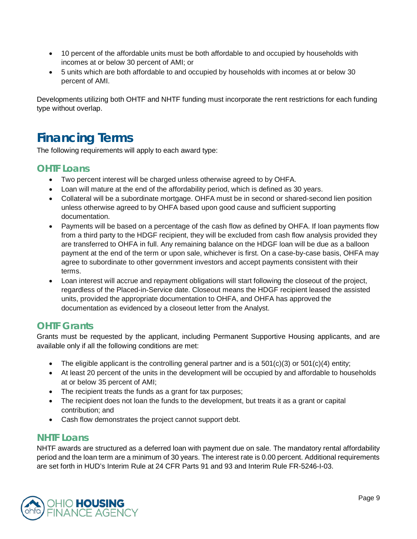- 10 percent of the affordable units must be both affordable to and occupied by households with incomes at or below 30 percent of AMI; or
- 5 units which are both affordable to and occupied by households with incomes at or below 30 percent of AMI.

Developments utilizing both OHTF and NHTF funding must incorporate the rent restrictions for each funding type without overlap.

# <span id="page-8-0"></span>**Financing Terms**

The following requirements will apply to each award type:

# **OHTF Loans**

- Two percent interest will be charged unless otherwise agreed to by OHFA.
- Loan will mature at the end of the affordability period, which is defined as 30 years.
- Collateral will be a subordinate mortgage. OHFA must be in second or shared-second lien position unless otherwise agreed to by OHFA based upon good cause and sufficient supporting documentation.
- Payments will be based on a percentage of the cash flow as defined by OHFA. If loan payments flow from a third party to the HDGF recipient, they will be excluded from cash flow analysis provided they are transferred to OHFA in full. Any remaining balance on the HDGF loan will be due as a balloon payment at the end of the term or upon sale, whichever is first. On a case-by-case basis, OHFA may agree to subordinate to other government investors and accept payments consistent with their terms.
- Loan interest will accrue and repayment obligations will start following the closeout of the project, regardless of the Placed-in-Service date. Closeout means the HDGF recipient leased the assisted units, provided the appropriate documentation to OHFA, and OHFA has approved the documentation as evidenced by a closeout letter from the Analyst.

# **OHTF Grants**

Grants must be requested by the applicant, including Permanent Supportive Housing applicants, and are available only if all the following conditions are met:

- The eligible applicant is the controlling general partner and is a  $501(c)(3)$  or  $501(c)(4)$  entity;
- At least 20 percent of the units in the development will be occupied by and affordable to households at or below 35 percent of AMI;
- The recipient treats the funds as a grant for tax purposes;
- The recipient does not loan the funds to the development, but treats it as a grant or capital contribution; and
- Cash flow demonstrates the project cannot support debt.

# **NHTF Loans**

NHTF awards are structured as a deferred loan with payment due on sale. The mandatory rental affordability period and the loan term are a minimum of 30 years. The interest rate is 0.00 percent. Additional requirements are set forth in HUD's Interim Rule at 24 CFR Parts 91 and 93 and Interim Rule FR-5246-I-03.

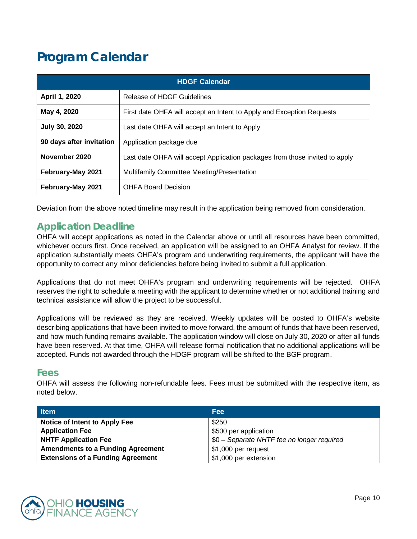# <span id="page-9-0"></span>**Program Calendar**

| <b>HDGF Calendar</b>                                                                         |                                                                       |  |
|----------------------------------------------------------------------------------------------|-----------------------------------------------------------------------|--|
| April 1, 2020                                                                                | Release of HDGF Guidelines                                            |  |
| May 4, 2020                                                                                  | First date OHFA will accept an Intent to Apply and Exception Requests |  |
| <b>July 30, 2020</b>                                                                         | Last date OHFA will accept an Intent to Apply                         |  |
| 90 days after invitation                                                                     | Application package due                                               |  |
| November 2020<br>Last date OHFA will accept Application packages from those invited to apply |                                                                       |  |
| February-May 2021<br>Multifamily Committee Meeting/Presentation                              |                                                                       |  |
| February-May 2021                                                                            | <b>OHFA Board Decision</b>                                            |  |

Deviation from the above noted timeline may result in the application being removed from consideration.

# **Application Deadline**

OHFA will accept applications as noted in the Calendar above or until all resources have been committed, whichever occurs first. Once received, an application will be assigned to an OHFA Analyst for review. If the application substantially meets OHFA's program and underwriting requirements, the applicant will have the opportunity to correct any minor deficiencies before being invited to submit a full application.

Applications that do not meet OHFA's program and underwriting requirements will be rejected. OHFA reserves the right to schedule a meeting with the applicant to determine whether or not additional training and technical assistance will allow the project to be successful.

Applications will be reviewed as they are received. Weekly updates will be posted to OHFA's website describing applications that have been invited to move forward, the amount of funds that have been reserved, and how much funding remains available. The application window will close on July 30, 2020 or after all funds have been reserved. At that time, OHFA will release formal notification that no additional applications will be accepted. Funds not awarded through the HDGF program will be shifted to the BGF program.

# **Fees**

OHFA will assess the following non-refundable fees. Fees must be submitted with the respective item, as noted below.

| <b>Item</b>                              | <b>Fee</b>                                 |
|------------------------------------------|--------------------------------------------|
| Notice of Intent to Apply Fee            | \$250                                      |
| <b>Application Fee</b>                   | \$500 per application                      |
| <b>NHTF Application Fee</b>              | \$0 - Separate NHTF fee no longer required |
| <b>Amendments to a Funding Agreement</b> | \$1,000 per request                        |
| <b>Extensions of a Funding Agreement</b> | \$1,000 per extension                      |

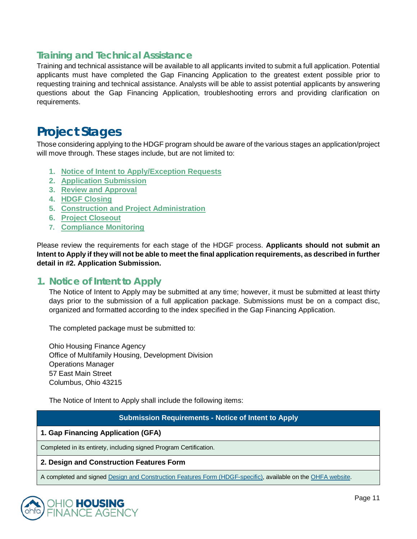# **Training and Technical Assistance**

Training and technical assistance will be available to all applicants invited to submit a full application. Potential applicants must have completed the Gap Financing Application to the greatest extent possible prior to requesting training and technical assistance. Analysts will be able to assist potential applicants by answering questions about the Gap Financing Application, troubleshooting errors and providing clarification on requirements.

# <span id="page-10-0"></span>**Project Stages**

Those considering applying to the HDGF program should be aware of the various stages an application/project will move through. These stages include, but are not limited to:

- **1. [Notice of Intent to Apply/Exception Requests](#page-10-1)**
- **2. [Application Submission](#page-12-0)**
- **3. [Review and Approval](#page-18-0)**
- **4. [HDGF Closing](#page-19-0)**
- **5. [Construction and Project Administration](#page-19-1)**
- **6. [Project Closeout](#page-20-0)**
- **7. [Compliance Monitoring](#page-21-0)**

Please review the requirements for each stage of the HDGF process. **Applicants should not submit an Intent to Apply if they will not be able to meet the final application requirements, as described in further detail in #2. Application Submission.** 

### <span id="page-10-1"></span>**1. Notice of Intent to Apply**

The Notice of Intent to Apply may be submitted at any time; however, it must be submitted at least thirty days prior to the submission of a full application package. Submissions must be on a compact disc, organized and formatted according to the index specified in the Gap Financing Application.

The completed package must be submitted to:

Ohio Housing Finance Agency Office of Multifamily Housing, Development Division Operations Manager 57 East Main Street Columbus, Ohio 43215

The Notice of Intent to Apply shall include the following items:

#### **Submission Requirements - Notice of Intent to Apply**

#### **1. Gap Financing Application (GFA)**

Completed in its entirety, including signed Program Certification.

#### **2. Design and Construction Features Form**

A completed and signe[d Design and Construction Features Form \(HDGF-specific\),](https://ohiohome.org/ppd/documents/DesignConstruction-HDGF-2020.pdf) available on th[e OHFA website.](https://ohiohome.org/ppd/resources.aspx)

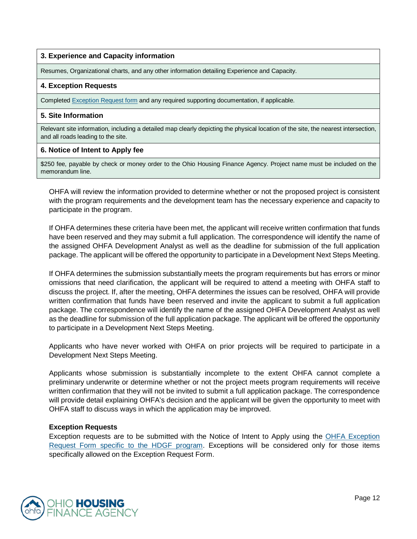#### **3. Experience and Capacity information**

Resumes, Organizational charts, and any other information detailing Experience and Capacity.

#### **4. Exception Requests**

Complete[d Exception Request form](https://ohiohome.org/ppd/documents/ExceptionRequestForm2020-HDGF.pdf) and any required supporting documentation, if applicable.

#### **5. Site Information**

Relevant site information, including a detailed map clearly depicting the physical location of the site, the nearest intersection, and all roads leading to the site.

#### **6. Notice of Intent to Apply fee**

\$250 fee, payable by check or money order to the Ohio Housing Finance Agency. Project name must be included on the memorandum line.

OHFA will review the information provided to determine whether or not the proposed project is consistent with the program requirements and the development team has the necessary experience and capacity to participate in the program.

If OHFA determines these criteria have been met, the applicant will receive written confirmation that funds have been reserved and they may submit a full application. The correspondence will identify the name of the assigned OHFA Development Analyst as well as the deadline for submission of the full application package. The applicant will be offered the opportunity to participate in a Development Next Steps Meeting.

If OHFA determines the submission substantially meets the program requirements but has errors or minor omissions that need clarification, the applicant will be required to attend a meeting with OHFA staff to discuss the project. If, after the meeting, OHFA determines the issues can be resolved, OHFA will provide written confirmation that funds have been reserved and invite the applicant to submit a full application package. The correspondence will identify the name of the assigned OHFA Development Analyst as well as the deadline for submission of the full application package. The applicant will be offered the opportunity to participate in a Development Next Steps Meeting.

Applicants who have never worked with OHFA on prior projects will be required to participate in a Development Next Steps Meeting.

Applicants whose submission is substantially incomplete to the extent OHFA cannot complete a preliminary underwrite or determine whether or not the project meets program requirements will receive written confirmation that they will not be invited to submit a full application package. The correspondence will provide detail explaining OHFA's decision and the applicant will be given the opportunity to meet with OHFA staff to discuss ways in which the application may be improved.

#### **Exception Requests**

Exception requests are to be submitted with the Notice of Intent to Apply using the [OHFA Exception](https://ohiohome.org/ppd/documents/ExceptionRequestForm2020-HDGF.pdf)  Request Form [specific to the HDGF program.](https://ohiohome.org/ppd/documents/ExceptionRequestForm2020-HDGF.pdf) Exceptions will be considered only for those items specifically allowed on the Exception Request Form.

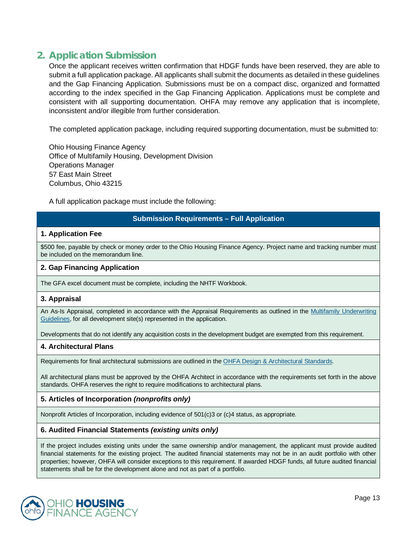# <span id="page-12-0"></span>**2. Application Submission**

Once the applicant receives written confirmation that HDGF funds have been reserved, they are able to submit a full application package. All applicants shall submit the documents as detailed in these guidelines and the Gap Financing Application. Submissions must be on a compact disc, organized and formatted according to the index specified in the Gap Financing Application. Applications must be complete and consistent with all supporting documentation. OHFA may remove any application that is incomplete, inconsistent and/or illegible from further consideration.

The completed application package, including required supporting documentation, must be submitted to:

Ohio Housing Finance Agency Office of Multifamily Housing, Development Division Operations Manager 57 East Main Street Columbus, Ohio 43215

A full application package must include the following:

#### **Submission Requirements – Full Application**

#### **1. Application Fee**

\$500 fee, payable by check or money order to the Ohio Housing Finance Agency. Project name and tracking number must be included on the memorandum line.

#### **2. Gap Financing Application**

The GFA excel document must be complete, including the NHTF Workbook.

#### **3. Appraisal**

An As-Is Appraisal, completed in accordance with the Appraisal Requirements as outlined in the Multifamily Underwriting [Guidelines,](https://ohiohome.org/ppd/documents/2020-MultifamilyUnderwritingGuide.pdf) for all development site(s) represented in the application.

Developments that do not identify any acquisition costs in the development budget are exempted from this requirement.

#### **4. Architectural Plans**

Requirements for final architectural submissions are outlined in the [OHFA Design & Architectural Standards.](https://ohiohome.org/ppd/documents/2020-DAS-Final.pdf)

All architectural plans must be approved by the OHFA Architect in accordance with the requirements set forth in the above standards. OHFA reserves the right to require modifications to architectural plans.

#### **5. Articles of Incorporation** *(nonprofits only)*

Nonprofit Articles of Incorporation, including evidence of 501(c)3 or (c)4 status, as appropriate.

#### **6. Audited Financial Statements** *(existing units only)*

If the project includes existing units under the same ownership and/or management, the applicant must provide audited financial statements for the existing project. The audited financial statements may not be in an audit portfolio with other properties; however, OHFA will consider exceptions to this requirement. If awarded HDGF funds, all future audited financial statements shall be for the development alone and not as part of a portfolio.

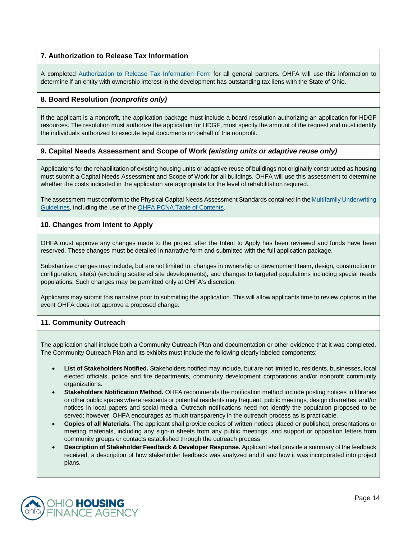#### **7. Authorization to Release Tax Information**

A completed [Authorization to Release Tax Information Form](https://ohiohome.org/ppd/documents/TaxReleaseAuthorization.pdf) for all general partners. OHFA will use this information to determine if an entity with ownership interest in the development has outstanding tax liens with the State of Ohio.

#### **8. Board Resolution** *(nonprofits only)*

If the applicant is a nonprofit, the application package must include a board resolution authorizing an application for HDGF resources. The resolution must authorize the application for HDGF, must specify the amount of the request and must identify the individuals authorized to execute legal documents on behalf of the nonprofit.

#### **9. Capital Needs Assessment and Scope of Work** *(existing units or adaptive reuse only)*

Applications for the rehabilitation of existing housing units or adaptive reuse of buildings not originally constructed as housing must submit a Capital Needs Assessment and Scope of Work for all buildings. OHFA will use this assessment to determine whether the costs indicated in the application are appropriate for the level of rehabilitation required.

The assessment must conform to the Physical Capital Needs Assessment Standards contained in th[e Multifamily Underwriting](https://ohiohome.org/ppd/documents/2020-MultifamilyUnderwritingGuide.pdf)  [Guidelines,](https://ohiohome.org/ppd/documents/2020-MultifamilyUnderwritingGuide.pdf) including the use of th[e OHFA PCNA Table of Contents.](https://ohiohome.org/ppd/documents/PCNA-TableofContents.pdf) 

#### **10. Changes from Intent to Apply**

OHFA must approve any changes made to the project after the Intent to Apply has been reviewed and funds have been reserved. These changes must be detailed in narrative form and submitted with the full application package.

Substantive changes may include, but are not limited to, changes in ownership or development team, design, construction or configuration, site(s) (excluding scattered site developments), and changes to targeted populations including special needs populations. Such changes may be permitted only at OHFA's discretion.

Applicants may submit this narrative prior to submitting the application. This will allow applicants time to review options in the event OHFA does not approve a proposed change.

#### **11. Community Outreach**

The application shall include both a Community Outreach Plan and documentation or other evidence that it was completed. The Community Outreach Plan and its exhibits must include the following clearly labeled components:

- **List of Stakeholders Notified.** Stakeholders notified may include, but are not limited to, residents, businesses, local elected officials, police and fire departments, community development corporations and/or nonprofit community organizations.
- **Stakeholders Notification Method.** OHFA recommends the notification method include posting notices in libraries or other public spaces where residents or potential residents may frequent, public meetings, design charrettes, and/or notices in local papers and social media. Outreach notifications need not identify the population proposed to be served; however, OHFA encourages as much transparency in the outreach process as is practicable.
- **Copies of all Materials.** The applicant shall provide copies of written notices placed or published, presentations or meeting materials, including any sign-in sheets from any public meetings, and support or opposition letters from community groups or contacts established through the outreach process.
- **Description of Stakeholder Feedback & Developer Response.** Applicant shall provide a summary of the feedback received, a description of how stakeholder feedback was analyzed and if and how it was incorporated into project plans.

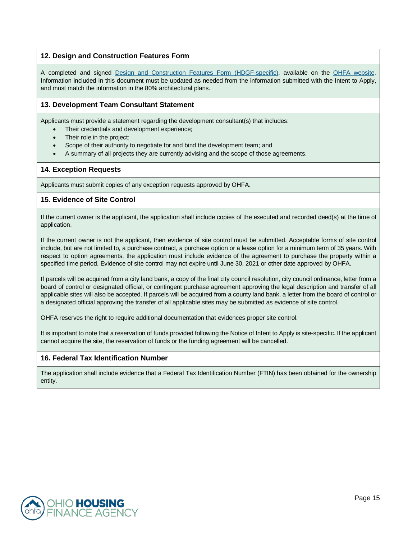#### **12. Design and Construction Features Form**

A completed and signed [Design and Construction Features Form](https://ohiohome.org/ppd/documents/DesignConstruction-HDGF-2020.pdf) (HDGF-specific), available on the [OHFA website.](https://ohiohome.org/ppd/resources.aspx) Information included in this document must be updated as needed from the information submitted with the Intent to Apply, and must match the information in the 80% architectural plans.

#### **13. Development Team Consultant Statement**

Applicants must provide a statement regarding the development consultant(s) that includes:

- Their credentials and development experience;
- Their role in the project;
- Scope of their authority to negotiate for and bind the development team; and
- A summary of all projects they are currently advising and the scope of those agreements.

#### **14. Exception Requests**

Applicants must submit copies of any exception requests approved by OHFA.

#### **15. Evidence of Site Control**

If the current owner is the applicant, the application shall include copies of the executed and recorded deed(s) at the time of application.

If the current owner is not the applicant, then evidence of site control must be submitted. Acceptable forms of site control include, but are not limited to, a purchase contract, a purchase option or a lease option for a minimum term of 35 years. With respect to option agreements, the application must include evidence of the agreement to purchase the property within a specified time period. Evidence of site control may not expire until June 30, 2021 or other date approved by OHFA.

If parcels will be acquired from a city land bank, a copy of the final city council resolution, city council ordinance, letter from a board of control or designated official, or contingent purchase agreement approving the legal description and transfer of all applicable sites will also be accepted. If parcels will be acquired from a county land bank, a letter from the board of control or a designated official approving the transfer of all applicable sites may be submitted as evidence of site control.

OHFA reserves the right to require additional documentation that evidences proper site control.

It is important to note that a reservation of funds provided following the Notice of Intent to Apply is site-specific. If the applicant cannot acquire the site, the reservation of funds or the funding agreement will be cancelled.

#### **16. Federal Tax Identification Number**

The application shall include evidence that a Federal Tax Identification Number (FTIN) has been obtained for the ownership entity.

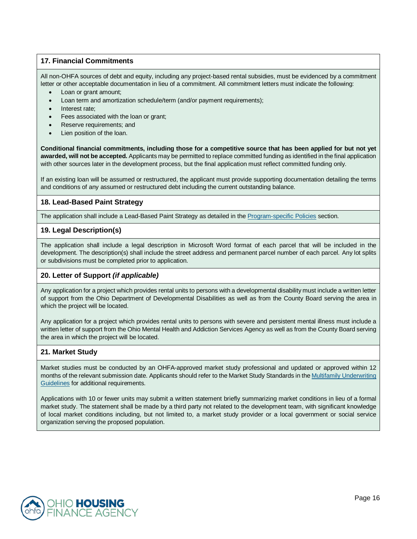#### **17. Financial Commitments**

All non-OHFA sources of debt and equity, including any project-based rental subsidies, must be evidenced by a commitment letter or other acceptable documentation in lieu of a commitment. All commitment letters must indicate the following:

- Loan or grant amount;
- Loan term and amortization schedule/term (and/or payment requirements);
- Interest rate;
- Fees associated with the loan or grant;
- Reserve requirements; and
- Lien position of the loan.

**Conditional financial commitments, including those for a competitive source that has been applied for but not yet awarded, will not be accepted.** Applicants may be permitted to replace committed funding as identified in the final application with other sources later in the development process, but the final application must reflect committed funding only.

If an existing loan will be assumed or restructured, the applicant must provide supporting documentation detailing the terms and conditions of any assumed or restructured debt including the current outstanding balance.

#### **18. Lead-Based Paint Strategy**

The application shall include a Lead-Based Paint Strategy as detailed in th[e Program-specific Policies](#page-7-0) section.

#### **19. Legal Description(s)**

The application shall include a legal description in Microsoft Word format of each parcel that will be included in the development. The description(s) shall include the street address and permanent parcel number of each parcel. Any lot splits or subdivisions must be completed prior to application.

#### **20. Letter of Support** *(if applicable)*

Any application for a project which provides rental units to persons with a developmental disability must include a written letter of support from the Ohio Department of Developmental Disabilities as well as from the County Board serving the area in which the project will be located.

Any application for a project which provides rental units to persons with severe and persistent mental illness must include a written letter of support from the Ohio Mental Health and Addiction Services Agency as well as from the County Board serving the area in which the project will be located.

#### **21. Market Study**

Market studies must be conducted by an OHFA-approved market study professional and updated or approved within 12 months of the relevant submission date. Applicants should refer to the Market Study Standards in th[e Multifamily Underwriting](https://ohiohome.org/ppd/documents/2020-MultifamilyUnderwritingGuide.pdf)  [Guidelines](https://ohiohome.org/ppd/documents/2020-MultifamilyUnderwritingGuide.pdf) for additional requirements.

Applications with 10 or fewer units may submit a written statement briefly summarizing market conditions in lieu of a formal market study. The statement shall be made by a third party not related to the development team, with significant knowledge of local market conditions including, but not limited to, a market study provider or a local government or social service organization serving the proposed population.

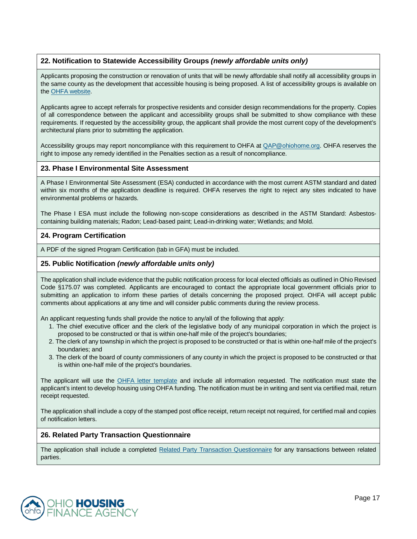#### **22. Notification to Statewide Accessibility Groups** *(newly affordable units only)*

Applicants proposing the construction or renovation of units that will be newly affordable shall notify all accessibility groups in the same county as the development that accessible housing is being proposed. A list of accessibility groups is available on th[e OHFA website.](https://ohiohome.org/ppd/data.aspx)

Applicants agree to accept referrals for prospective residents and consider design recommendations for the property. Copies of all correspondence between the applicant and accessibility groups shall be submitted to show compliance with these requirements. If requested by the accessibility group, the applicant shall provide the most current copy of the development's architectural plans prior to submitting the application.

Accessibility groups may report noncompliance with this requirement to OHFA at  $QAP@ohiohome.org$ . OHFA reserves the right to impose any remedy identified in the Penalties section as a result of noncompliance.

#### **23. Phase I Environmental Site Assessment**

A Phase I Environmental Site Assessment (ESA) conducted in accordance with the most current ASTM standard and dated within six months of the application deadline is required. OHFA reserves the right to reject any sites indicated to have environmental problems or hazards.

The Phase I ESA must include the following non-scope considerations as described in the ASTM Standard: Asbestoscontaining building materials; Radon; Lead-based paint; Lead-in-drinking water; Wetlands; and Mold.

#### **24. Program Certification**

A PDF of the signed Program Certification (tab in GFA) must be included.

#### **25. Public Notification** *(newly affordable units only)*

The application shall include evidence that the public notification process for local elected officials as outlined in Ohio Revised Code §175.07 was completed. Applicants are encouraged to contact the appropriate local government officials prior to submitting an application to inform these parties of details concerning the proposed project. OHFA will accept public comments about applications at any time and will consider public comments during the review process.

An applicant requesting funds shall provide the notice to any/all of the following that apply:

- 1. The chief executive officer and the clerk of the legislative body of any municipal corporation in which the project is proposed to be constructed or that is within one-half mile of the project's boundaries;
- 2. The clerk of any township in which the project is proposed to be constructed or that is within one-half mile of the project's boundaries; and
- 3. The clerk of the board of county commissioners of any county in which the project is proposed to be constructed or that is within one-half mile of the project's boundaries.

The applicant will use the [OHFA letter template](https://ohiohome.org/ppd/documents/PublicNotificationTemplate.doc) and include all information requested. The notification must state the applicant's intent to develop housing using OHFA funding. The notification must be in writing and sent via certified mail, return receipt requested.

The application shall include a copy of the stamped post office receipt, return receipt not required, for certified mail and copies of notification letters.

#### **26. Related Party Transaction Questionnaire**

The application shall include a completed [Related Party Transaction Questionnaire](https://ohiohome.org/ppd/documents/RelatedPartyTransactionQuestionnaire.pdf) for any transactions between related parties.

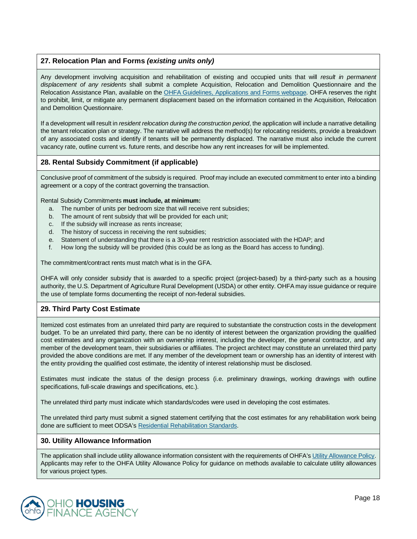#### **27. Relocation Plan and Forms** *(existing units only)*

Any development involving acquisition and rehabilitation of existing and occupied units that will *result in permanent displacement of any residents* shall submit a complete Acquisition, Relocation and Demolition Questionnaire and the Relocation Assistance Plan, available on th[e OHFA Guidelines, Applications and Forms webpage.](http://ohiohome.org/ppd/resources.aspx) OHFA reserves the right to prohibit, limit, or mitigate any permanent displacement based on the information contained in the Acquisition, Relocation and Demolition Questionnaire.

If a development will result in *resident relocation during the construction period*, the application will include a narrative detailing the tenant relocation plan or strategy. The narrative will address the method(s) for relocating residents, provide a breakdown of any associated costs and identify if tenants will be permanently displaced. The narrative must also include the current vacancy rate, outline current vs. future rents, and describe how any rent increases for will be implemented.

#### **28. Rental Subsidy Commitment (if applicable)**

Conclusive proof of commitment of the subsidy is required. Proof may include an executed commitment to enter into a binding agreement or a copy of the contract governing the transaction.

Rental Subsidy Commitments **must include, at minimum:**

- a. The number of units per bedroom size that will receive rent subsidies;
- b. The amount of rent subsidy that will be provided for each unit;
- c. If the subsidy will increase as rents increase;
- d. The history of success in receiving the rent subsidies;
- e. Statement of understanding that there is a 30-year rent restriction associated with the HDAP; and
- f. How long the subsidy will be provided (this could be as long as the Board has access to funding).

The commitment/contract rents must match what is in the GFA.

OHFA will only consider subsidy that is awarded to a specific project (project-based) by a third-party such as a housing authority, the U.S. Department of Agriculture Rural Development (USDA) or other entity. OHFA may issue guidance or require the use of template forms documenting the receipt of non-federal subsidies.

#### **29. Third Party Cost Estimate**

Itemized cost estimates from an unrelated third party are required to substantiate the construction costs in the development budget. To be an unrelated third party, there can be no identity of interest between the organization providing the qualified cost estimates and any organization with an ownership interest, including the developer, the general contractor, and any member of the development team, their subsidiaries or affiliates. The project architect may constitute an unrelated third party provided the above conditions are met. If any member of the development team or ownership has an identity of interest with the entity providing the qualified cost estimate, the identity of interest relationship must be disclosed.

Estimates must indicate the status of the design process (i.e. preliminary drawings, working drawings with outline specifications, full-scale drawings and specifications, etc.).

The unrelated third party must indicate which standards/codes were used in developing the cost estimates.

The unrelated third party must submit a signed statement certifying that the cost estimates for any rehabilitation work being done are sufficient to meet ODSA'[s Residential Rehabilitation Standards.](https://development.ohio.gov/files/cs/RRS%20and%20Commentary%20December%202014.pdf)

#### **30. Utility Allowance Information**

The application shall include utility allowance information consistent with the requirements of OHFA'[s Utility Allowance Policy.](https://ohiohome.org/compliance/documents/utilityallowancepolicy.pdf) Applicants may refer to the OHFA Utility Allowance Policy for guidance on methods available to calculate utility allowances for various project types.

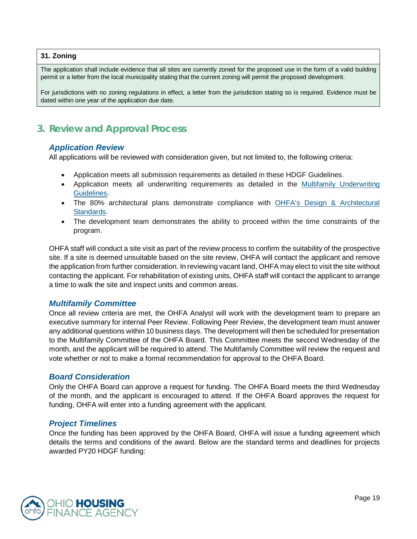#### **31. Zoning**

The application shall include evidence that all sites are currently zoned for the proposed use in the form of a valid building permit or a letter from the local municipality stating that the current zoning will permit the proposed development.

For jurisdictions with no zoning regulations in effect, a letter from the jurisdiction stating so is required. Evidence must be dated within one year of the application due date.

# <span id="page-18-0"></span>**3. Review and Approval Process**

#### *Application Review*

All applications will be reviewed with consideration given, but not limited to, the following criteria:

- Application meets all submission requirements as detailed in these HDGF Guidelines.
- Application meets all underwriting requirements as detailed in the [Multifamily Underwriting](https://ohiohome.org/ppd/documents/2020-MultifamilyUnderwritingGuide.pdf)  [Guidelines.](https://ohiohome.org/ppd/documents/2020-MultifamilyUnderwritingGuide.pdf)
- The 80% architectural plans demonstrate compliance with [OHFA's Design & Architectural](https://ohiohome.org/ppd/documents/2020-DAS-Final.pdf)  [Standards.](https://ohiohome.org/ppd/documents/2020-DAS-Final.pdf)
- The development team demonstrates the ability to proceed within the time constraints of the program.

OHFA staff will conduct a site visit as part of the review process to confirm the suitability of the prospective site. If a site is deemed unsuitable based on the site review, OHFA will contact the applicant and remove the application from further consideration. In reviewing vacant land, OHFA may elect to visit the site without contacting the applicant. For rehabilitation of existing units, OHFA staff will contact the applicant to arrange a time to walk the site and inspect units and common areas.

#### *Multifamily Committee*

Once all review criteria are met, the OHFA Analyst will work with the development team to prepare an executive summary for internal Peer Review. Following Peer Review, the development team must answer any additional questions within 10 business days. The development will then be scheduled for presentation to the Multifamily Committee of the OHFA Board. This Committee meets the second Wednesday of the month, and the applicant will be required to attend. The Multifamily Committee will review the request and vote whether or not to make a formal recommendation for approval to the OHFA Board.

#### *Board Consideration*

Only the OHFA Board can approve a request for funding. The OHFA Board meets the third Wednesday of the month, and the applicant is encouraged to attend. If the OHFA Board approves the request for funding, OHFA will enter into a funding agreement with the applicant.

#### *Project Timelines*

Once the funding has been approved by the OHFA Board, OHFA will issue a funding agreement which details the terms and conditions of the award. Below are the standard terms and deadlines for projects awarded PY20 HDGF funding:

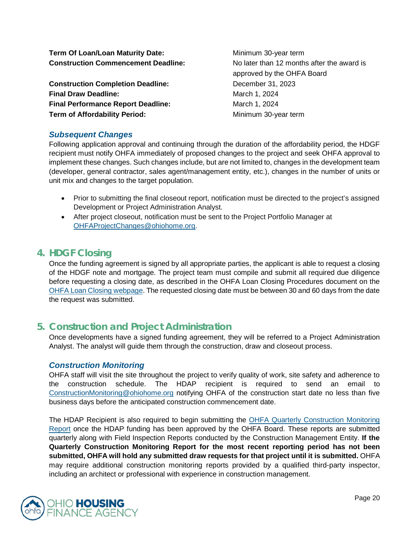**Term Of Loan/Loan Maturity Date:** Minimum 30-year term **Construction Commencement Deadline:** No later than 12 months after the award is

**Construction Completion Deadline:** December 31, 2023 **Final Draw Deadline:** March 1, 2024 **Final Performance Report Deadline:** March 1, 2024 **Term of Affordability Period:** Minimum 30-year term

approved by the OHFA Board

### *Subsequent Changes*

Following application approval and continuing through the duration of the affordability period, the HDGF recipient must notify OHFA immediately of proposed changes to the project and seek OHFA approval to implement these changes. Such changes include, but are not limited to, changes in the development team (developer, general contractor, sales agent/management entity, etc.), changes in the number of units or unit mix and changes to the target population.

- Prior to submitting the final closeout report, notification must be directed to the project's assigned Development or Project Administration Analyst.
- After project closeout, notification must be sent to the Project Portfolio Manager at [OHFAProjectChanges@ohiohome.org.](mailto:OHFAProjectChanges@ohiohome.org)

# <span id="page-19-0"></span>**4. HDGF Closing**

Once the funding agreement is signed by all appropriate parties, the applicant is able to request a closing of the HDGF note and mortgage. The project team must compile and submit all required due diligence before requesting a closing date, as described in the OHFA Loan Closing Procedures document on the [OHFA Loan Closing webpage.](http://ohiohome.org/ppd/legal.aspx) The requested closing date must be between 30 and 60 days from the date the request was submitted.

# <span id="page-19-1"></span>**5. Construction and Project Administration**

Once developments have a signed funding agreement, they will be referred to a Project Administration Analyst. The analyst will guide them through the construction, draw and closeout process.

#### *Construction Monitoring*

OHFA staff will visit the site throughout the project to verify quality of work, site safety and adherence to the construction schedule. The HDAP recipient is required to send an email to [ConstructionMonitoring@ohiohome.org](mailto:ConstructionMonitoring@ohiohome.org) notifying OHFA of the construction start date no less than five business days before the anticipated construction commencement date.

The HDAP Recipient is also required to begin submitting the [OHFA Quarterly Construction Monitoring](https://www.ohiohome.org/constmonitor/)  [Report](https://www.ohiohome.org/constmonitor/) once the HDAP funding has been approved by the OHFA Board. These reports are submitted quarterly along with Field Inspection Reports conducted by the Construction Management Entity. **If the Quarterly Construction Monitoring Report for the most recent reporting period has not been submitted, OHFA will hold any submitted draw requests for that project until it is submitted.** OHFA may require additional construction monitoring reports provided by a qualified third-party inspector, including an architect or professional with experience in construction management.

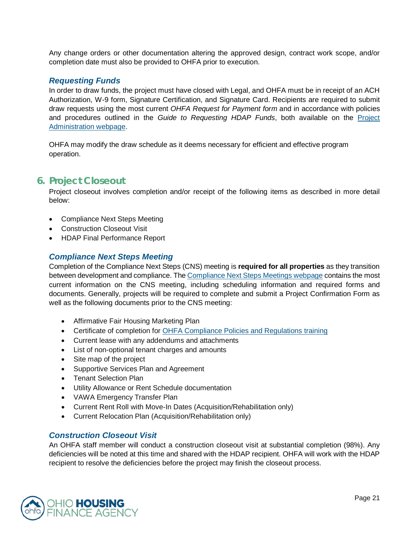Any change orders or other documentation altering the approved design, contract work scope, and/or completion date must also be provided to OHFA prior to execution.

#### *Requesting Funds*

In order to draw funds, the project must have closed with Legal, and OHFA must be in receipt of an ACH Authorization, W-9 form, Signature Certification, and Signature Card. Recipients are required to submit draw requests using the most current *OHFA Request for Payment form* and in accordance with policies and procedures outlined in the *Guide to Requesting HDAP Funds*, both available on the [Project](https://ohiohome.org/ppd/projectadmin.aspx)  [Administration webpage.](https://ohiohome.org/ppd/projectadmin.aspx)

OHFA may modify the draw schedule as it deems necessary for efficient and effective program operation.

### <span id="page-20-0"></span>**6. Project Closeout**

Project closeout involves completion and/or receipt of the following items as described in more detail below:

- Compliance Next Steps Meeting
- Construction Closeout Visit
- HDAP Final Performance Report

#### *Compliance Next Steps Meeting*

Completion of the Compliance Next Steps (CNS) meeting is **required for all properties** as they transition between development and compliance. The [Compliance Next Steps Meetings webpage](https://ohiohome.org/multifamily/compliancenextsteps.aspx) contains the most current information on the CNS meeting, including scheduling information and required forms and documents. Generally, projects will be required to complete and submit a Project Confirmation Form as well as the following documents prior to the CNS meeting:

- Affirmative Fair Housing Marketing Plan
- Certificate of completion for [OHFA Compliance Policies and Regulations training](https://ohiohome.org/multifamily/training.aspx)
- Current lease with any addendums and attachments
- List of non-optional tenant charges and amounts
- Site map of the project
- Supportive Services Plan and Agreement
- Tenant Selection Plan
- Utility Allowance or Rent Schedule documentation
- VAWA Emergency Transfer Plan
- Current Rent Roll with Move-In Dates (Acquisition/Rehabilitation only)
- Current Relocation Plan (Acquisition/Rehabilitation only)

#### *Construction Closeout Visit*

An OHFA staff member will conduct a construction closeout visit at substantial completion (98%). Any deficiencies will be noted at this time and shared with the HDAP recipient. OHFA will work with the HDAP recipient to resolve the deficiencies before the project may finish the closeout process.

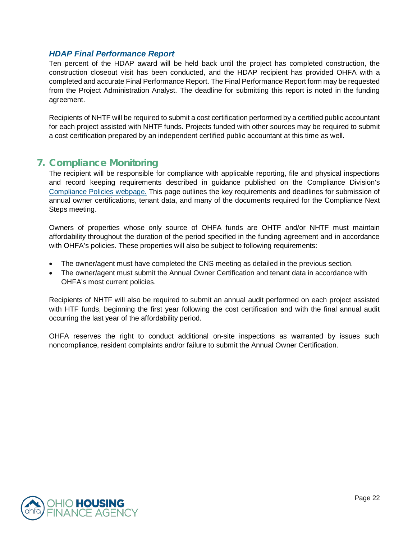### *HDAP Final Performance Report*

Ten percent of the HDAP award will be held back until the project has completed construction, the construction closeout visit has been conducted, and the HDAP recipient has provided OHFA with a completed and accurate Final Performance Report. The Final Performance Report form may be requested from the Project Administration Analyst. The deadline for submitting this report is noted in the funding agreement.

Recipients of NHTF will be required to submit a cost certification performed by a certified public accountant for each project assisted with NHTF funds. Projects funded with other sources may be required to submit a cost certification prepared by an independent certified public accountant at this time as well.

# <span id="page-21-0"></span>**7. Compliance Monitoring**

The recipient will be responsible for compliance with applicable reporting, file and physical inspections and record keeping requirements described in guidance published on the Compliance Division's [Compliance Policies webpage.](https://ohiohome.org/compliance/policies.aspx) This page outlines the key requirements and deadlines for submission of annual owner certifications, tenant data, and many of the documents required for the Compliance Next Steps meeting.

Owners of properties whose only source of OHFA funds are OHTF and/or NHTF must maintain affordability throughout the duration of the period specified in the funding agreement and in accordance with OHFA's policies. These properties will also be subject to following requirements:

- The owner/agent must have completed the CNS meeting as detailed in the previous section.
- The owner/agent must submit the Annual Owner Certification and tenant data in accordance with OHFA's most current policies.

Recipients of NHTF will also be required to submit an annual audit performed on each project assisted with HTF funds, beginning the first year following the cost certification and with the final annual audit occurring the last year of the affordability period.

OHFA reserves the right to conduct additional on-site inspections as warranted by issues such noncompliance, resident complaints and/or failure to submit the Annual Owner Certification.

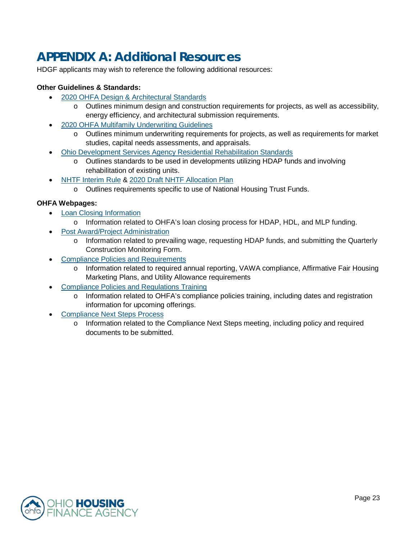# <span id="page-22-0"></span>**APPENDIX A: Additional Resources**

HDGF applicants may wish to reference the following additional resources:

#### **Other Guidelines & Standards:**

- [2020 OHFA Design & Architectural Standards](https://ohiohome.org/ppd/documents/2020-DAS-Final.pdf)
	- $\circ$  Outlines minimum design and construction requirements for projects, as well as accessibility, energy efficiency, and architectural submission requirements.
- [2020 OHFA Multifamily Underwriting Guidelines](https://ohiohome.org/ppd/documents/2020-MultifamilyUnderwritingGuide.pdf)
	- o Outlines minimum underwriting requirements for projects, as well as requirements for market studies, capital needs assessments, and appraisals.
- [Ohio Development Services Agency Residential Rehabilitation Standards](https://www.development.ohio.gov/files/cs/Residential%20Rehabilitation%20Standards%20and%20Commentary%20October%202014.pdf)
	- o Outlines standards to be used in developments utilizing HDAP funds and involving rehabilitation of existing units.
- [NHTF Interim Rule](https://www.hudexchange.info/resource/4406/housing-trust-fund-interim-rule/) & [2020 Draft NHTF Allocation Plan](https://ohiohome.org/ppd/housingtrust.aspx)
	- o Outlines requirements specific to use of National Housing Trust Funds.

#### **OHFA Webpages:**

- [Loan Closing Information](https://ohiohome.org/ppd/legal.aspx)
	- o Information related to OHFA's loan closing process for HDAP, HDL, and MLP funding.
- **[Post Award/Project Administration](https://ohiohome.org/ppd/projectadmin.aspx)** 
	- o Information related to prevailing wage, requesting HDAP funds, and submitting the Quarterly Construction Monitoring Form.
- [Compliance Policies and Requirements](https://ohiohome.org/compliance/policies.aspx)
	- o Information related to required annual reporting, VAWA compliance, Affirmative Fair Housing Marketing Plans, and Utility Allowance requirements
- [Compliance Policies and Regulations Training](https://ohiohome.org/multifamily/training.aspx)
	- o Information related to OHFA's compliance policies training, including dates and registration information for upcoming offerings.
- [Compliance Next Steps Process](https://ohiohome.org/multifamily/compliancenextsteps.aspx)
	- o Information related to the Compliance Next Steps meeting, including policy and required documents to be submitted.

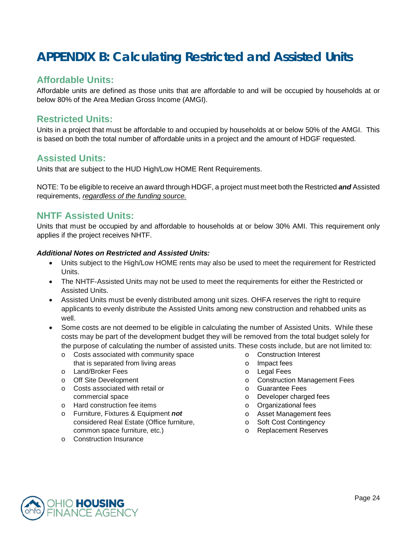# <span id="page-23-0"></span>**APPENDIX B: Calculating Restricted and Assisted Units**

# **Affordable Units:**

Affordable units are defined as those units that are affordable to and will be occupied by households at or below 80% of the Area Median Gross Income (AMGI).

# **Restricted Units:**

Units in a project that must be affordable to and occupied by households at or below 50% of the AMGI. This is based on both the total number of affordable units in a project and the amount of HDGF requested.

# **Assisted Units:**

Units that are subject to the HUD High/Low HOME Rent Requirements.

NOTE: To be eligible to receive an award through HDGF, a project must meet both the Restricted *and* Assisted requirements, *regardless of the funding source.*

# **NHTF Assisted Units:**

Units that must be occupied by and affordable to households at or below 30% AMI. This requirement only applies if the project receives NHTF.

#### *Additional Notes on Restricted and Assisted Units:*

- Units subject to the High/Low HOME rents may also be used to meet the requirement for Restricted Units.
- The NHTF-Assisted Units may not be used to meet the requirements for either the Restricted or Assisted Units.
- Assisted Units must be evenly distributed among unit sizes. OHFA reserves the right to require applicants to evenly distribute the Assisted Units among new construction and rehabbed units as well.
- Some costs are not deemed to be eligible in calculating the number of Assisted Units. While these costs may be part of the development budget they will be removed from the total budget solely for the purpose of calculating the number of assisted units. These costs include, but are not limited to:
	- o Costs associated with community space that is separated from living areas
	- o Land/Broker Fees
	- o Off Site Development
	- o Costs associated with retail or commercial space
	- o Hard construction fee items
	- o Furniture, Fixtures & Equipment *not* considered Real Estate (Office furniture, common space furniture, etc.)
	- o Construction Insurance
- o Construction Interest
- o Impact fees
- o Legal Fees
- o Construction Management Fees
- o Guarantee Fees
- o Developer charged fees
- o Organizational fees
- o Asset Management fees
- o Soft Cost Contingency
- o Replacement Reserves

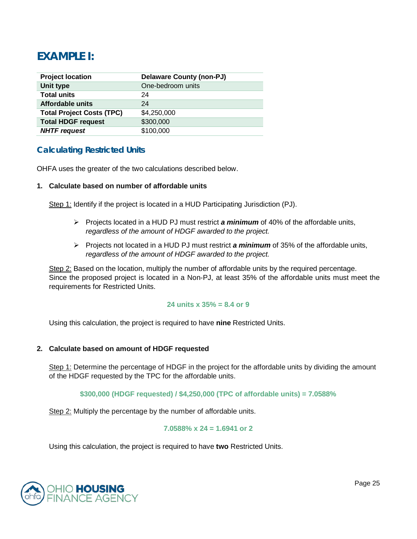# **EXAMPLE I:**

| <b>Project location</b>          | Delaware County (non-PJ) |
|----------------------------------|--------------------------|
| Unit type                        | One-bedroom units        |
| <b>Total units</b>               | 24                       |
| Affordable units                 | 24                       |
| <b>Total Project Costs (TPC)</b> | \$4,250,000              |
| <b>Total HDGF request</b>        | \$300,000                |
| <b>NHTF request</b>              | \$100,000                |

# **Calculating Restricted Units**

OHFA uses the greater of the two calculations described below.

#### **1. Calculate based on number of affordable units**

Step 1: Identify if the project is located in a HUD Participating Jurisdiction (PJ).

- $\triangleright$  Projects located in a HUD PJ must restrict **a minimum** of 40% of the affordable units, *regardless of the amount of HDGF awarded to the project.*
- Projects not located in a HUD PJ must restrict *a minimum* of 35% of the affordable units, *regardless of the amount of HDGF awarded to the project.*

Step 2: Based on the location, multiply the number of affordable units by the required percentage. Since the proposed project is located in a Non-PJ, at least 35% of the affordable units must meet the requirements for Restricted Units.

#### **24 units x 35% = 8.4 or 9**

Using this calculation, the project is required to have **nine** Restricted Units.

#### **2. Calculate based on amount of HDGF requested**

Step 1: Determine the percentage of HDGF in the project for the affordable units by dividing the amount of the HDGF requested by the TPC for the affordable units.

#### **\$300,000 (HDGF requested) / \$4,250,000 (TPC of affordable units) = 7.0588%**

Step 2: Multiply the percentage by the number of affordable units.

#### **7.0588% x 24 = 1.6941 or 2**

Using this calculation, the project is required to have **two** Restricted Units.

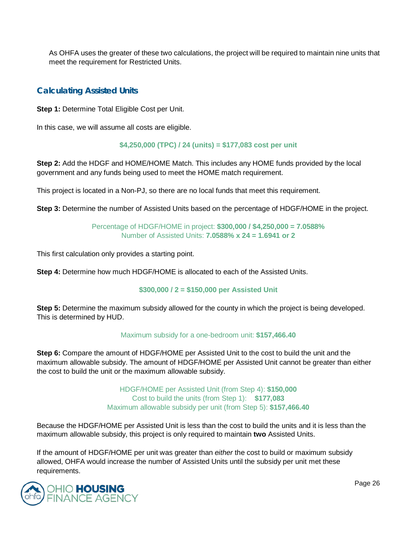As OHFA uses the greater of these two calculations, the project will be required to maintain nine units that meet the requirement for Restricted Units.

### **Calculating Assisted Units**

**Step 1: Determine Total Eligible Cost per Unit.** 

In this case, we will assume all costs are eligible.

#### **\$4,250,000 (TPC) / 24 (units) = \$177,083 cost per unit**

**Step 2:** Add the HDGF and HOME/HOME Match. This includes any HOME funds provided by the local government and any funds being used to meet the HOME match requirement.

This project is located in a Non-PJ, so there are no local funds that meet this requirement.

**Step 3:** Determine the number of Assisted Units based on the percentage of HDGF/HOME in the project.

Percentage of HDGF/HOME in project: **\$300,000 / \$4,250,000 = 7.0588%** Number of Assisted Units: **7.0588% x 24 = 1.6941 or 2**

This first calculation only provides a starting point.

**Step 4:** Determine how much HDGF/HOME is allocated to each of the Assisted Units.

#### **\$300,000 / 2 = \$150,000 per Assisted Unit**

**Step 5:** Determine the maximum subsidy allowed for the county in which the project is being developed. This is determined by HUD.

#### Maximum subsidy for a one-bedroom unit: **\$157,466.40**

**Step 6:** Compare the amount of HDGF/HOME per Assisted Unit to the cost to build the unit and the maximum allowable subsidy. The amount of HDGF/HOME per Assisted Unit cannot be greater than either the cost to build the unit or the maximum allowable subsidy.

> HDGF/HOME per Assisted Unit (from Step 4): **\$150,000** Cost to build the units (from Step 1): **\$177,083** Maximum allowable subsidy per unit (from Step 5): **\$157,466.40**

Because the HDGF/HOME per Assisted Unit is less than the cost to build the units and it is less than the maximum allowable subsidy, this project is only required to maintain **two** Assisted Units.

If the amount of HDGF/HOME per unit was greater than *either* the cost to build or maximum subsidy allowed, OHFA would increase the number of Assisted Units until the subsidy per unit met these requirements.

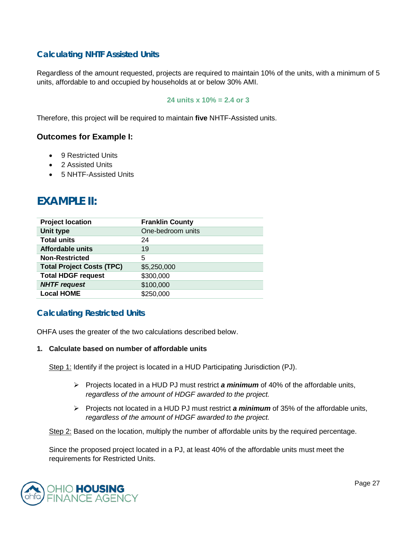# **Calculating NHTF Assisted Units**

Regardless of the amount requested, projects are required to maintain 10% of the units, with a minimum of 5 units, affordable to and occupied by households at or below 30% AMI.

#### **24 units x 10% = 2.4 or 3**

Therefore, this project will be required to maintain **five** NHTF-Assisted units.

#### **Outcomes for Example I:**

- 9 Restricted Units
- 2 Assisted Units
- 5 NHTF-Assisted Units

# **EXAMPLE II:**

| <b>Project location</b>          | <b>Franklin County</b> |
|----------------------------------|------------------------|
| Unit type                        | One-bedroom units      |
| <b>Total units</b>               | 24                     |
| Affordable units                 | 19                     |
| <b>Non-Restricted</b>            | 5                      |
| <b>Total Project Costs (TPC)</b> | \$5,250,000            |
| <b>Total HDGF request</b>        | \$300,000              |
| <b>NHTF request</b>              | \$100,000              |
| <b>Local HOME</b>                | \$250,000              |

### **Calculating Restricted Units**

OHFA uses the greater of the two calculations described below.

#### **1. Calculate based on number of affordable units**

Step 1: Identify if the project is located in a HUD Participating Jurisdiction (PJ).

- $\triangleright$  Projects located in a HUD PJ must restrict **a minimum** of 40% of the affordable units, *regardless of the amount of HDGF awarded to the project.*
- $\triangleright$  Projects not located in a HUD PJ must restrict **a minimum** of 35% of the affordable units, *regardless of the amount of HDGF awarded to the project.*

Step 2: Based on the location, multiply the number of affordable units by the required percentage.

Since the proposed project located in a PJ, at least 40% of the affordable units must meet the requirements for Restricted Units.

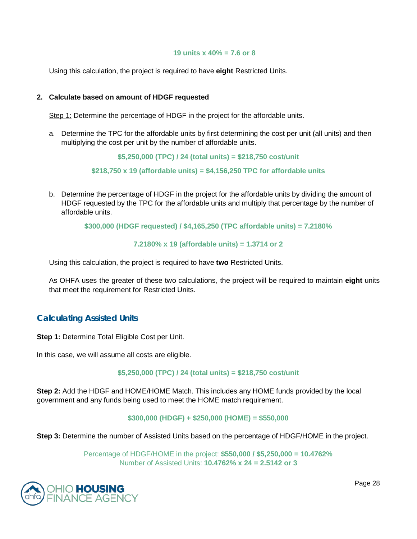#### **19 units x 40% = 7.6 or 8**

Using this calculation, the project is required to have **eight** Restricted Units.

#### **2. Calculate based on amount of HDGF requested**

Step 1: Determine the percentage of HDGF in the project for the affordable units.

a. Determine the TPC for the affordable units by first determining the cost per unit (all units) and then multiplying the cost per unit by the number of affordable units.

**\$5,250,000 (TPC) / 24 (total units) = \$218,750 cost/unit**

**\$218,750 x 19 (affordable units) = \$4,156,250 TPC for affordable units**

b. Determine the percentage of HDGF in the project for the affordable units by dividing the amount of HDGF requested by the TPC for the affordable units and multiply that percentage by the number of affordable units.

**\$300,000 (HDGF requested) / \$4,165,250 (TPC affordable units) = 7.2180%**

**7.2180% x 19 (affordable units) = 1.3714 or 2**

Using this calculation, the project is required to have **two** Restricted Units.

As OHFA uses the greater of these two calculations, the project will be required to maintain **eight** units that meet the requirement for Restricted Units.

### **Calculating Assisted Units**

**Step 1:** Determine Total Eligible Cost per Unit.

In this case, we will assume all costs are eligible.

**\$5,250,000 (TPC) / 24 (total units) = \$218,750 cost/unit**

**Step 2:** Add the HDGF and HOME/HOME Match. This includes any HOME funds provided by the local government and any funds being used to meet the HOME match requirement.

#### **\$300,000 (HDGF) + \$250,000 (HOME) = \$550,000**

**Step 3:** Determine the number of Assisted Units based on the percentage of HDGF/HOME in the project.

Percentage of HDGF/HOME in the project: **\$550,000 / \$5,250,000 = 10.4762%** Number of Assisted Units: **10.4762% x 24 = 2.5142 or 3**



Page 28